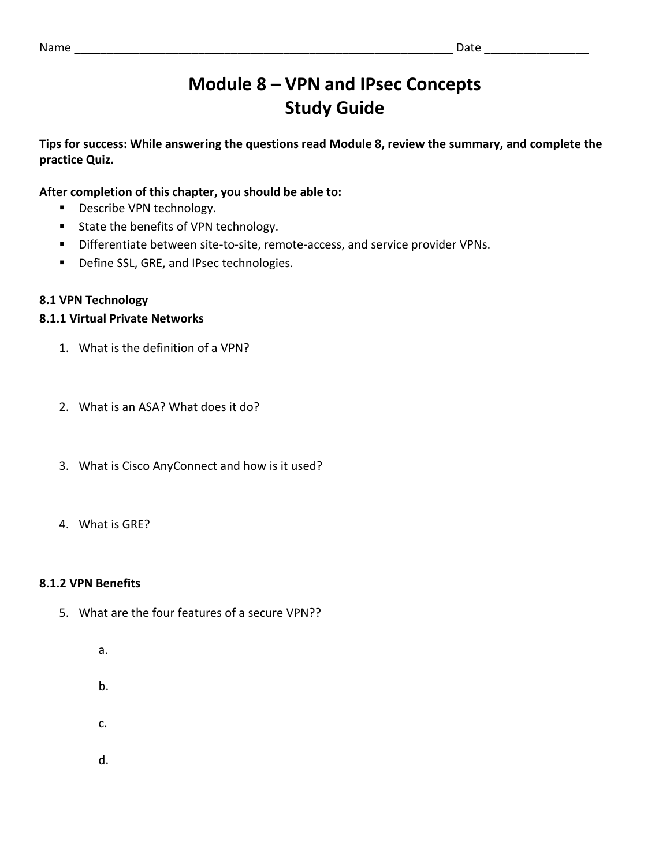# **Module 8 – VPN and IPsec Concepts Study Guide**

**Tips for success: While answering the questions read Module 8, review the summary, and complete the practice Quiz.**

# **After completion of this chapter, you should be able to:**

- **■** Describe VPN technology.
- State the benefits of VPN technology.
- Differentiate between site-to-site, remote-access, and service provider VPNs.
- Define SSL, GRE, and IPsec technologies.

# **8.1 VPN Technology**

# **8.1.1 Virtual Private Networks**

- 1. What is the definition of a VPN?
- 2. What is an ASA? What does it do?
- 3. What is Cisco AnyConnect and how is it used?
- 4. What is GRE?

# **8.1.2 VPN Benefits**

- 5. What are the four features of a secure VPN??
	- a.
	- b.
	- c.
	- d.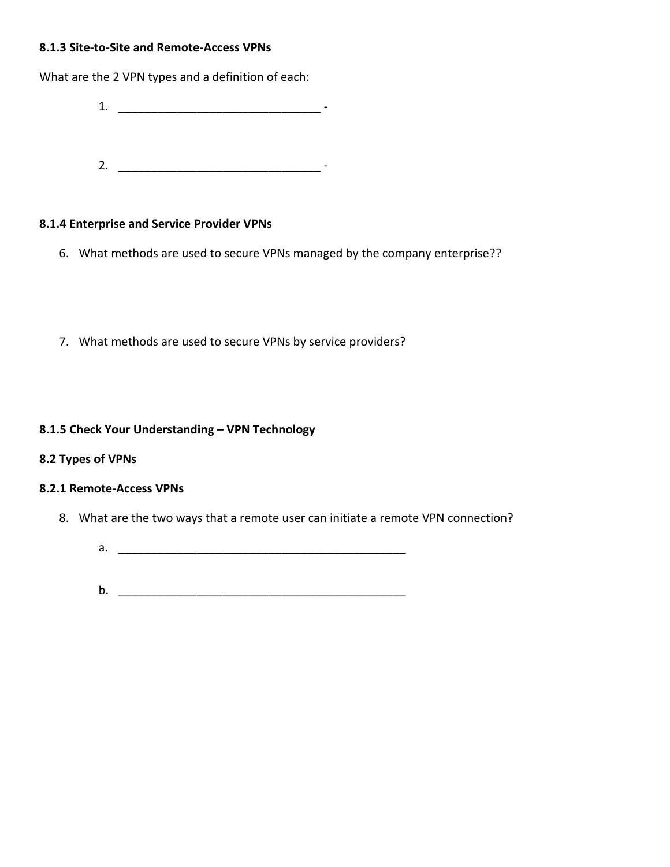## **8.1.3 Site-to-Site and Remote-Access VPNs**

What are the 2 VPN types and a definition of each:

- 1. \_\_\_\_\_\_\_\_\_\_\_\_\_\_\_\_\_\_\_\_\_\_\_\_\_\_\_\_\_\_\_ -
- 2. \_\_\_\_\_\_\_\_\_\_\_\_\_\_\_\_\_\_\_\_\_\_\_\_\_\_\_\_\_\_\_ -

#### **8.1.4 Enterprise and Service Provider VPNs**

- 6. What methods are used to secure VPNs managed by the company enterprise??
- 7. What methods are used to secure VPNs by service providers?

#### **8.1.5 Check Your Understanding – VPN Technology**

#### **8.2 Types of VPNs**

#### **8.2.1 Remote-Access VPNs**

- 8. What are the two ways that a remote user can initiate a remote VPN connection?
	- $a.$
	- $\mathsf b.$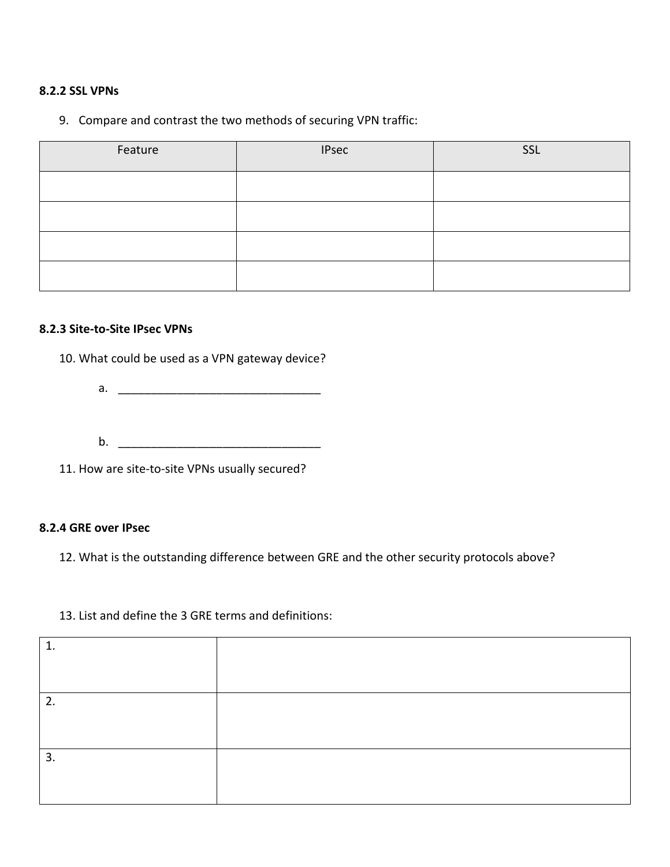## **8.2.2 SSL VPNs**

# 9. Compare and contrast the two methods of securing VPN traffic:

| Feature | <b>IPsec</b> | SSL |
|---------|--------------|-----|
|         |              |     |
|         |              |     |
|         |              |     |
|         |              |     |

#### **8.2.3 Site-to-Site IPsec VPNs**

10. What could be used as a VPN gateway device?

- a. \_\_\_\_\_\_\_\_\_\_\_\_\_\_\_\_\_\_\_\_\_\_\_\_\_\_\_\_\_\_\_
- b. \_\_\_\_\_\_\_\_\_\_\_\_\_\_\_\_\_\_\_\_\_\_\_\_\_\_\_\_\_\_\_

11. How are site-to-site VPNs usually secured?

#### **8.2.4 GRE over IPsec**

12. What is the outstanding difference between GRE and the other security protocols above?

## 13. List and define the 3 GRE terms and definitions:

| 1. |  |
|----|--|
|    |  |
|    |  |
| 2. |  |
|    |  |
|    |  |
| 3. |  |
|    |  |
|    |  |
|    |  |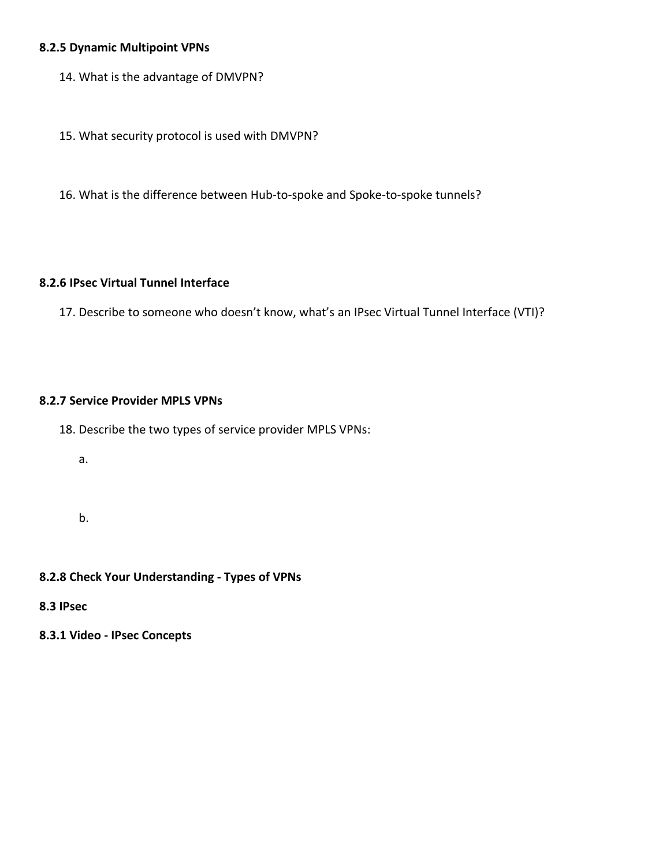# **8.2.5 Dynamic Multipoint VPNs**

- 14. What is the advantage of DMVPN?
- 15. What security protocol is used with DMVPN?
- 16. What is the difference between Hub-to-spoke and Spoke-to-spoke tunnels?

#### **8.2.6 IPsec Virtual Tunnel Interface**

17. Describe to someone who doesn't know, what's an IPsec Virtual Tunnel Interface (VTI)?

#### **8.2.7 Service Provider MPLS VPNs**

- 18. Describe the two types of service provider MPLS VPNs:
	- a.
	- b.

## **8.2.8 Check Your Understanding - Types of VPNs**

- **8.3 IPsec**
- **8.3.1 Video - IPsec Concepts**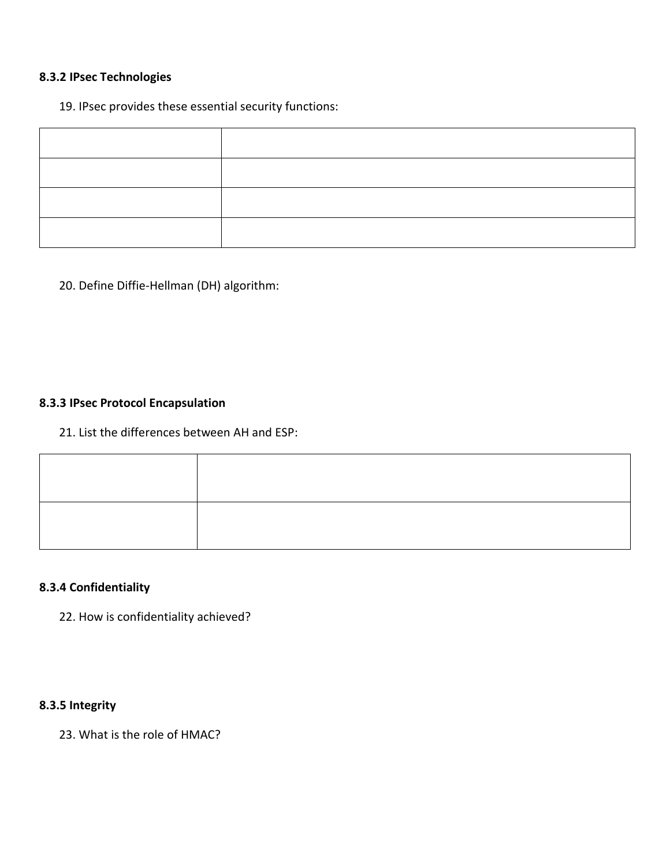# **8.3.2 IPsec Technologies**

## 19. IPsec provides these essential security functions:

20. Define Diffie-Hellman (DH) algorithm:

# **8.3.3 IPsec Protocol Encapsulation**

# 21. List the differences between AH and ESP:

# **8.3.4 Confidentiality**

22. How is confidentiality achieved?

# **8.3.5 Integrity**

23. What is the role of HMAC?